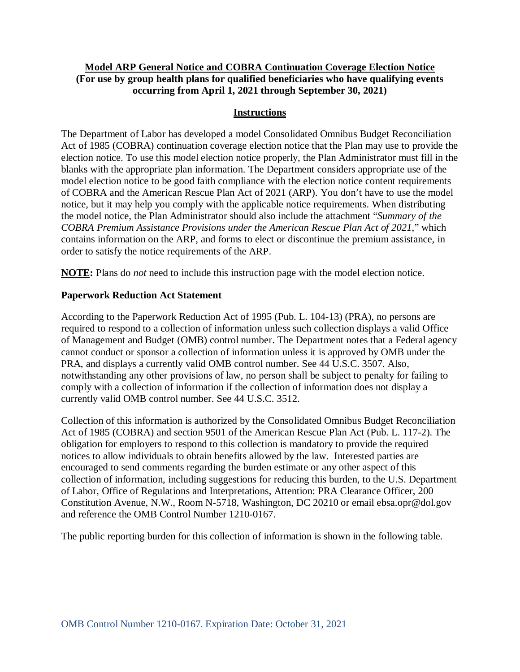# **Model ARP General Notice and COBRA Continuation Coverage Election Notice (For use by group health plans for qualified beneficiaries who have qualifying events occurring from April 1, 2021 through September 30, 2021)**

#### **Instructions**

The Department of Labor has developed a model Consolidated Omnibus Budget Reconciliation Act of 1985 (COBRA) continuation coverage election notice that the Plan may use to provide the election notice. To use this model election notice properly, the Plan Administrator must fill in the blanks with the appropriate plan information. The Department considers appropriate use of the model election notice to be good faith compliance with the election notice content requirements of COBRA and the American Rescue Plan Act of 2021 (ARP). You don't have to use the model notice, but it may help you comply with the applicable notice requirements. When distributing the model notice, the Plan Administrator should also include the attachment "*Summary of the COBRA Premium Assistance Provisions under the American Rescue Plan Act of 2021*," which contains information on the ARP, and forms to elect or discontinue the premium assistance, in order to satisfy the notice requirements of the ARP.

**NOTE:** Plans do *not* need to include this instruction page with the model election notice.

#### **Paperwork Reduction Act Statement**

According to the Paperwork Reduction Act of 1995 (Pub. L. 104-13) (PRA), no persons are required to respond to a collection of information unless such collection displays a valid Office of Management and Budget (OMB) control number. The Department notes that a Federal agency cannot conduct or sponsor a collection of information unless it is approved by OMB under the PRA, and displays a currently valid OMB control number. See 44 U.S.C. 3507. Also, notwithstanding any other provisions of law, no person shall be subject to penalty for failing to comply with a collection of information if the collection of information does not display a currently valid OMB control number. See 44 U.S.C. 3512.

Collection of this information is authorized by the Consolidated Omnibus Budget Reconciliation Act of 1985 (COBRA) and section 9501 of the American Rescue Plan Act (Pub. L. 117-2). The obligation for employers to respond to this collection is mandatory to provide the required notices to allow individuals to obtain benefits allowed by the law. Interested parties are encouraged to send comments regarding the burden estimate or any other aspect of this collection of information, including suggestions for reducing this burden, to the U.S. Department of Labor, Office of Regulations and Interpretations, Attention: PRA Clearance Officer, 200 Constitution Avenue, N.W., Room N-5718, Washington, DC 20210 or email ebsa.opr@dol.gov and reference the OMB Control Number 1210-0167.

The public reporting burden for this collection of information is shown in the following table.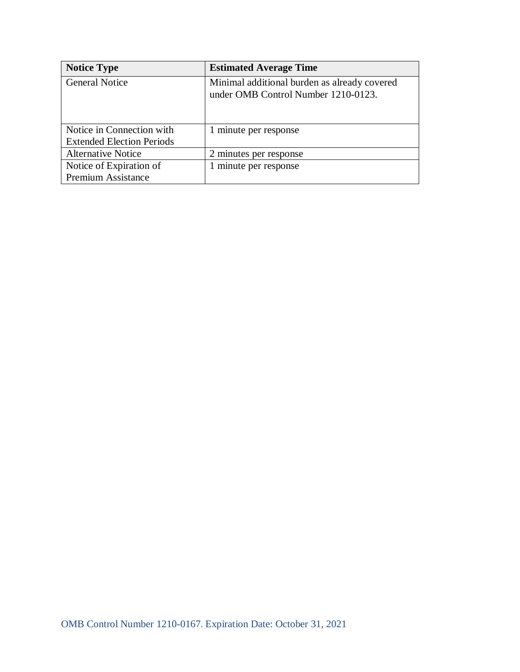| <b>Notice Type</b>               | <b>Estimated Average Time</b>                                                       |
|----------------------------------|-------------------------------------------------------------------------------------|
| <b>General Notice</b>            | Minimal additional burden as already covered<br>under OMB Control Number 1210-0123. |
| Notice in Connection with        | 1 minute per response                                                               |
| <b>Extended Election Periods</b> |                                                                                     |
| <b>Alternative Notice</b>        | 2 minutes per response                                                              |
| Notice of Expiration of          | 1 minute per response                                                               |
| <b>Premium Assistance</b>        |                                                                                     |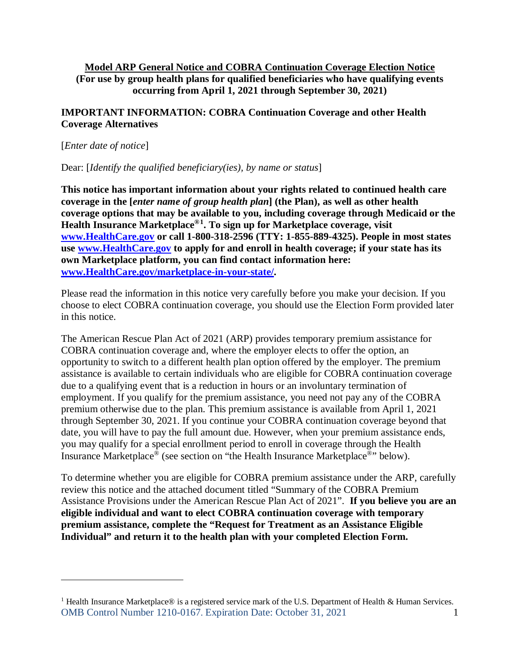# **Model ARP General Notice and COBRA Continuation Coverage Election Notice (For use by group health plans for qualified beneficiaries who have qualifying events occurring from April 1, 2021 through September 30, 2021)**

# **IMPORTANT INFORMATION: COBRA Continuation Coverage and other Health Coverage Alternatives**

[*Enter date of notice*]

 $\overline{a}$ 

Dear: [*Identify the qualified beneficiary(ies), by name or status*]

**This notice has important information about your rights related to continued health care coverage in the [***enter name of group health plan***] (the Plan), as well as other health coverage options that may be available to you, including coverage through Medicaid or the Health Insurance Marketplace®[1](#page-2-0) . To sign up for Marketplace coverage, visit [www.HealthCare.gov](http://www.healthcare.gov/) or call 1-800-318-2596 (TTY: 1-855-889-4325). People in most states use [www.HealthCare.gov](https://www.healthcare.gov/) to apply for and enroll in health coverage; if your state has its own Marketplace platform, you can find contact information here: www[.HealthCare.gov/marketplace-in-your-state/.](https://www.healthcare.gov/marketplace-in-your-state/)**

Please read the information in this notice very carefully before you make your decision. If you choose to elect COBRA continuation coverage, you should use the Election Form provided later in this notice.

The American Rescue Plan Act of 2021 (ARP) provides temporary premium assistance for COBRA continuation coverage and, where the employer elects to offer the option, an opportunity to switch to a different health plan option offered by the employer. The premium assistance is available to certain individuals who are eligible for COBRA continuation coverage due to a qualifying event that is a reduction in hours or an involuntary termination of employment. If you qualify for the premium assistance, you need not pay any of the COBRA premium otherwise due to the plan. This premium assistance is available from April 1, 2021 through September 30, 2021. If you continue your COBRA continuation coverage beyond that date, you will have to pay the full amount due. However, when your premium assistance ends, you may qualify for a special enrollment period to enroll in coverage through the Health Insurance Marketplace® (see section on "the Health Insurance Marketplace®" below).

To determine whether you are eligible for COBRA premium assistance under the ARP, carefully review this notice and the attached document titled "Summary of the COBRA Premium Assistance Provisions under the American Rescue Plan Act of 2021". **If you believe you are an eligible individual and want to elect COBRA continuation coverage with temporary premium assistance, complete the "Request for Treatment as an Assistance Eligible Individual" and return it to the health plan with your completed Election Form.**

<span id="page-2-0"></span>OMB Control Number 1210-0167. Expiration Date: October 31, 2021 1 <sup>1</sup> Health Insurance Marketplace® is a registered service mark of the U.S. Department of Health & Human Services.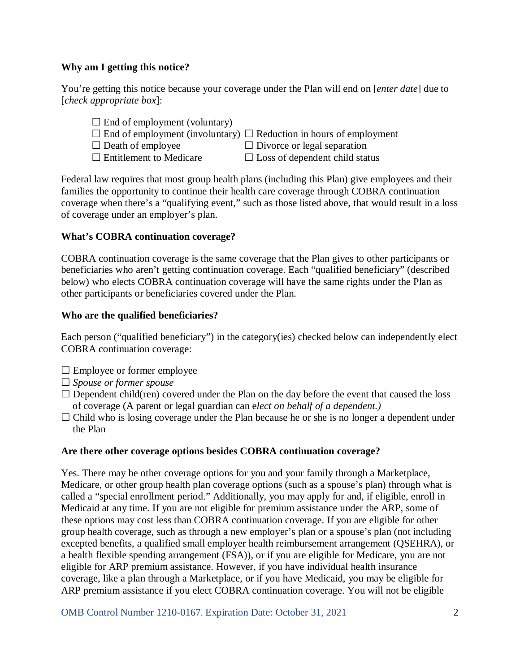# **Why am I getting this notice?**

You're getting this notice because your coverage under the Plan will end on [*enter date*] due to [*check appropriate box*]:

 $\Box$  End of employment (voluntary)  $\Box$  End of employment (involuntary)  $\Box$  Reduction in hours of employment  $\Box$  Death of employee  $\Box$  Divorce or legal separation  $\Box$  Divorce or legal separation  $\Box$  Entitlement to Medicare  $\Box$  Loss of dependent child status

Federal law requires that most group health plans (including this Plan) give employees and their families the opportunity to continue their health care coverage through COBRA continuation coverage when there's a "qualifying event," such as those listed above, that would result in a loss of coverage under an employer's plan.

# **What's COBRA continuation coverage?**

COBRA continuation coverage is the same coverage that the Plan gives to other participants or beneficiaries who aren't getting continuation coverage. Each "qualified beneficiary" (described below) who elects COBRA continuation coverage will have the same rights under the Plan as other participants or beneficiaries covered under the Plan.

# **Who are the qualified beneficiaries?**

Each person ("qualified beneficiary") in the category(ies) checked below can independently elect COBRA continuation coverage:

- $\square$  Employee or former employee
- *Spouse or former spouse*
- $\Box$  Dependent child(ren) covered under the Plan on the day before the event that caused the loss of coverage (A parent or legal guardian can e*lect on behalf of a dependent.)*
- $\Box$  Child who is losing coverage under the Plan because he or she is no longer a dependent under the Plan

# **Are there other coverage options besides COBRA continuation coverage?**

Yes. There may be other coverage options for you and your family through a Marketplace, Medicare, or other group health plan coverage options (such as a spouse's plan) through what is called a "special enrollment period." Additionally, you may apply for and, if eligible, enroll in Medicaid at any time. If you are not eligible for premium assistance under the ARP, some of these options may cost less than COBRA continuation coverage. If you are eligible for other group health coverage, such as through a new employer's plan or a spouse's plan (not including excepted benefits, a qualified small employer health reimbursement arrangement (QSEHRA), or a health flexible spending arrangement (FSA)), or if you are eligible for Medicare, you are not eligible for ARP premium assistance. However, if you have individual health insurance coverage, like a plan through a Marketplace, or if you have Medicaid, you may be eligible for ARP premium assistance if you elect COBRA continuation coverage. You will not be eligible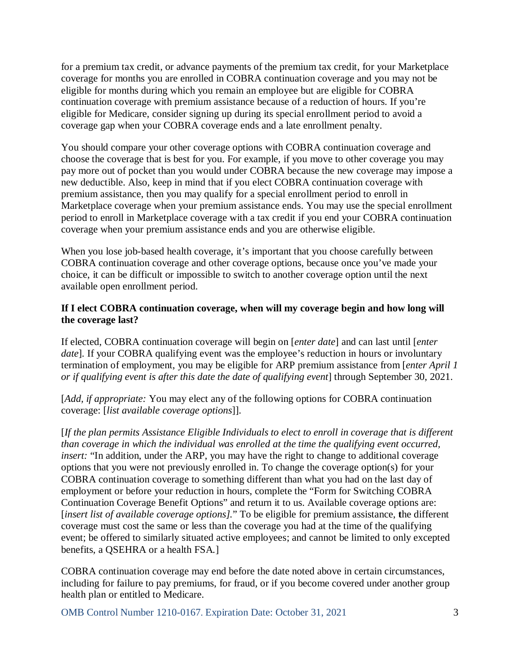for a premium tax credit, or advance payments of the premium tax credit, for your Marketplace coverage for months you are enrolled in COBRA continuation coverage and you may not be eligible for months during which you remain an employee but are eligible for COBRA continuation coverage with premium assistance because of a reduction of hours. If you're eligible for Medicare, consider signing up during its special enrollment period to avoid a coverage gap when your COBRA coverage ends and a late enrollment penalty.

You should compare your other coverage options with COBRA continuation coverage and choose the coverage that is best for you. For example, if you move to other coverage you may pay more out of pocket than you would under COBRA because the new coverage may impose a new deductible. Also, keep in mind that if you elect COBRA continuation coverage with premium assistance, then you may qualify for a special enrollment period to enroll in Marketplace coverage when your premium assistance ends. You may use the special enrollment period to enroll in Marketplace coverage with a tax credit if you end your COBRA continuation coverage when your premium assistance ends and you are otherwise eligible.

When you lose job-based health coverage, it's important that you choose carefully between COBRA continuation coverage and other coverage options, because once you've made your choice, it can be difficult or impossible to switch to another coverage option until the next available open enrollment period.

#### **If I elect COBRA continuation coverage, when will my coverage begin and how long will the coverage last?**

If elected, COBRA continuation coverage will begin on [*enter date*] and can last until [*enter date*]. If your COBRA qualifying event was the employee's reduction in hours or involuntary termination of employment, you may be eligible for ARP premium assistance from [*enter April 1 or if qualifying event is after this date the date of qualifying event*] through September 30, 2021.

[*Add, if appropriate:* You may elect any of the following options for COBRA continuation coverage: [*list available coverage options*]].

[*If the plan permits Assistance Eligible Individuals to elect to enroll in coverage that is different than coverage in which the individual was enrolled at the time the qualifying event occurred, insert:* "In addition, under the ARP, you may have the right to change to additional coverage options that you were not previously enrolled in. To change the coverage option(s) for your COBRA continuation coverage to something different than what you had on the last day of employment or before your reduction in hours, complete the "Form for Switching COBRA Continuation Coverage Benefit Options" and return it to us. Available coverage options are: [*insert list of available coverage options].*" To be eligible for premium assistance, **t**he different coverage must cost the same or less than the coverage you had at the time of the qualifying event; be offered to similarly situated active employees; and cannot be limited to only excepted benefits, a QSEHRA or a health FSA*.*]

COBRA continuation coverage may end before the date noted above in certain circumstances, including for failure to pay premiums, for fraud, or if you become covered under another group health plan or entitled to Medicare.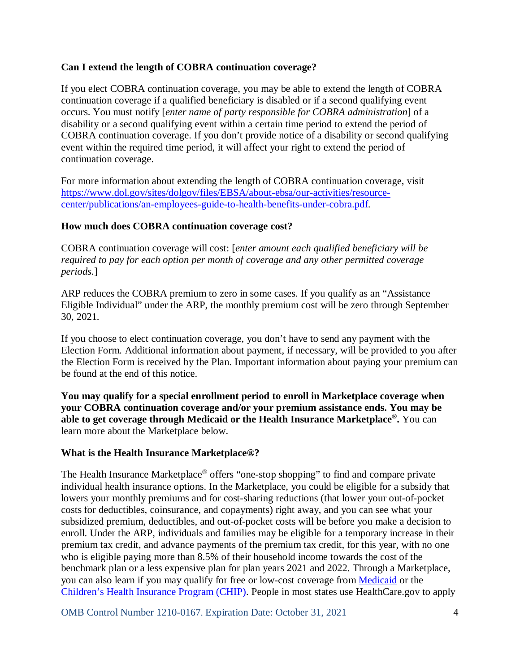# **Can I extend the length of COBRA continuation coverage?**

If you elect COBRA continuation coverage, you may be able to extend the length of COBRA continuation coverage if a qualified beneficiary is disabled or if a second qualifying event occurs. You must notify [*enter name of party responsible for COBRA administration*] of a disability or a second qualifying event within a certain time period to extend the period of COBRA continuation coverage. If you don't provide notice of a disability or second qualifying event within the required time period, it will affect your right to extend the period of continuation coverage.

For more information about extending the length of COBRA continuation coverage, visit [https://www.dol.gov/sites/dolgov/files/EBSA/about-ebsa/our-activities/resource](https://www.dol.gov/sites/dolgov/files/EBSA/about-ebsa/our-activities/resource-center/publications/an-employees-guide-to-health-benefits-under-cobra.pdf)[center/publications/an-employees-guide-to-health-benefits-under-cobra.pdf.](https://www.dol.gov/sites/dolgov/files/EBSA/about-ebsa/our-activities/resource-center/publications/an-employees-guide-to-health-benefits-under-cobra.pdf)

# **How much does COBRA continuation coverage cost?**

COBRA continuation coverage will cost: [*enter amount each qualified beneficiary will be required to pay for each option per month of coverage and any other permitted coverage periods.*]

ARP reduces the COBRA premium to zero in some cases. If you qualify as an "Assistance Eligible Individual" under the ARP, the monthly premium cost will be zero through September 30, 2021.

If you choose to elect continuation coverage, you don't have to send any payment with the Election Form. Additional information about payment, if necessary, will be provided to you after the Election Form is received by the Plan. Important information about paying your premium can be found at the end of this notice.

**You may qualify for a special enrollment period to enroll in Marketplace coverage when your COBRA continuation coverage and/or your premium assistance ends. You may be able to get coverage through Medicaid or the Health Insurance Marketplace®.** You can learn more about the Marketplace below.

# **What is the Health Insurance Marketplace®?**

The Health Insurance Marketplace® offers "one-stop shopping" to find and compare private individual health insurance options. In the Marketplace, you could be eligible for a subsidy that lowers your monthly premiums and for cost-sharing reductions (that lower your out-of-pocket costs for deductibles, coinsurance, and copayments) right away, and you can see what your subsidized premium, deductibles, and out-of-pocket costs will be before you make a decision to enroll. Under the ARP, individuals and families may be eligible for a temporary increase in their premium tax credit, and advance payments of the premium tax credit, for this year, with no one who is eligible paying more than 8.5% of their household income towards the cost of the benchmark plan or a less expensive plan for plan years 2021 and 2022. Through a Marketplace, you can also learn if you may qualify for free or low-cost coverage from [Medicaid](https://www.healthcare.gov/do-i-qualify-for-medicaid) or the [Children's Health Insurance Program \(CHIP\).](https://www.healthcare.gov/are-my-children-eligible-for-chip) People in most states use HealthCare.gov to apply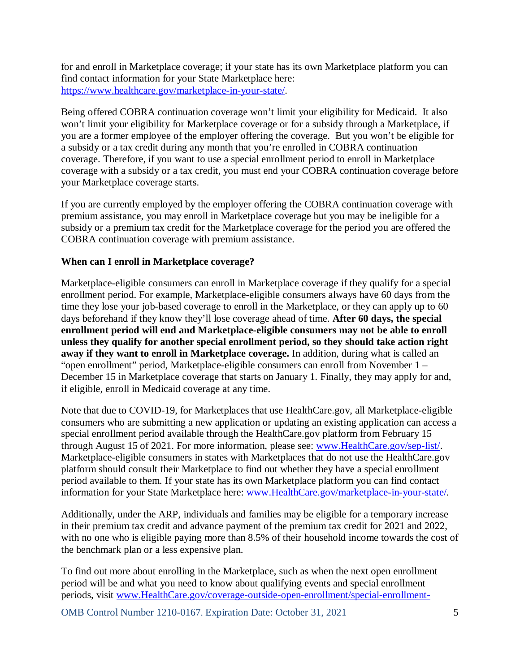for and enroll in Marketplace coverage; if your state has its own Marketplace platform you can find contact information for your State Marketplace here: [https://www.healthcare.gov/marketplace-in-your-state/.](https://www.healthcare.gov/marketplace-in-your-state/)

Being offered COBRA continuation coverage won't limit your eligibility for Medicaid. It also won't limit your eligibility for Marketplace coverage or for a subsidy through a Marketplace, if you are a former employee of the employer offering the coverage. But you won't be eligible for a subsidy or a tax credit during any month that you're enrolled in COBRA continuation coverage. Therefore, if you want to use a special enrollment period to enroll in Marketplace coverage with a subsidy or a tax credit, you must end your COBRA continuation coverage before your Marketplace coverage starts.

If you are currently employed by the employer offering the COBRA continuation coverage with premium assistance, you may enroll in Marketplace coverage but you may be ineligible for a subsidy or a premium tax credit for the Marketplace coverage for the period you are offered the COBRA continuation coverage with premium assistance.

# **When can I enroll in Marketplace coverage?**

Marketplace-eligible consumers can enroll in Marketplace coverage if they qualify for a special enrollment period. For example, Marketplace-eligible consumers always have 60 days from the time they lose your job-based coverage to enroll in the Marketplace, or they can apply up to 60 days beforehand if they know they'll lose coverage ahead of time. **After 60 days, the special enrollment period will end and Marketplace-eligible consumers may not be able to enroll unless they qualify for another special enrollment period, so they should take action right away if they want to enroll in Marketplace coverage.** In addition, during what is called an "open enrollment" period, Marketplace-eligible consumers can enroll from November 1 – December 15 in Marketplace coverage that starts on January 1. Finally, they may apply for and, if eligible, enroll in Medicaid coverage at any time.

Note that due to COVID-19, for Marketplaces that use HealthCare.gov, all Marketplace-eligible consumers who are submitting a new application or updating an existing application can access a special enrollment period available through the HealthCare.gov platform from February 15 through August 15 of 2021. For more information, please see: [www.HealthCare.gov/sep-list/.](http://www.healthcare.gov/sep-list/) Marketplace-eligible consumers in states with Marketplaces that do not use the HealthCare.gov platform should consult their Marketplace to find out whether they have a special enrollment period available to them. If your state has its own Marketplace platform you can find contact information for your State Marketplace here: [www.HealthCare.gov/marketplace-in-your-state/.](http://www.healthcare.gov/marketplace-in-your-state/)

Additionally, under the ARP, individuals and families may be eligible for a temporary increase in their premium tax credit and advance payment of the premium tax credit for 2021 and 2022, with no one who is eligible paying more than 8.5% of their household income towards the cost of the benchmark plan or a less expensive plan.

To find out more about enrolling in the Marketplace, such as when the next open enrollment period will be and what you need to know about qualifying events and special enrollment periods, visit [www.HealthCare.gov/coverage-outside-open-enrollment/special-enrollment-](http://www.healthcare.gov/coverage-outside-open-enrollment/special-enrollment-period/)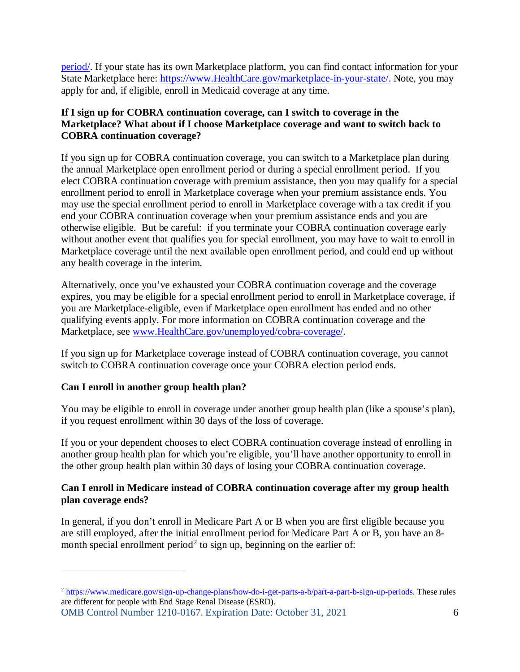[period/.](http://www.healthcare.gov/coverage-outside-open-enrollment/special-enrollment-period/) If your state has its own Marketplace platform, you can find contact information for your State Marketplace here: [https://www.HealthCare.gov/marketplace-in-your-state/.](https://www.healthcare.gov/marketplace-in-your-state/) Note, you may apply for and, if eligible, enroll in Medicaid coverage at any time.

# **If I sign up for COBRA continuation coverage, can I switch to coverage in the Marketplace? What about if I choose Marketplace coverage and want to switch back to COBRA continuation coverage?**

If you sign up for COBRA continuation coverage, you can switch to a Marketplace plan during the annual Marketplace open enrollment period or during a special enrollment period. If you elect COBRA continuation coverage with premium assistance, then you may qualify for a special enrollment period to enroll in Marketplace coverage when your premium assistance ends. You may use the special enrollment period to enroll in Marketplace coverage with a tax credit if you end your COBRA continuation coverage when your premium assistance ends and you are otherwise eligible. But be careful: if you terminate your COBRA continuation coverage early without another event that qualifies you for special enrollment, you may have to wait to enroll in Marketplace coverage until the next available open enrollment period, and could end up without any health coverage in the interim.

Alternatively, once you've exhausted your COBRA continuation coverage and the coverage expires, you may be eligible for a special enrollment period to enroll in Marketplace coverage, if you are Marketplace-eligible, even if Marketplace open enrollment has ended and no other qualifying events apply. For more information on COBRA continuation coverage and the Marketplace, see [www.HealthCare.gov/unemployed/cobra-coverage/.](https://www.healthcare.gov/unemployed/cobra-coverage/)

If you sign up for Marketplace coverage instead of COBRA continuation coverage, you cannot switch to COBRA continuation coverage once your COBRA election period ends.

# **Can I enroll in another group health plan?**

 $\overline{a}$ 

You may be eligible to enroll in coverage under another group health plan (like a spouse's plan), if you request enrollment within 30 days of the loss of coverage.

If you or your dependent chooses to elect COBRA continuation coverage instead of enrolling in another group health plan for which you're eligible, you'll have another opportunity to enroll in the other group health plan within 30 days of losing your COBRA continuation coverage.

# **Can I enroll in Medicare instead of COBRA continuation coverage after my group health plan coverage ends?**

In general, if you don't enroll in Medicare Part A or B when you are first eligible because you are still employed, after the initial enrollment period for Medicare Part A or B, you have an 8- month special enrollment period<sup>[2](#page-7-0)</sup> to sign up, beginning on the earlier of:

<span id="page-7-0"></span><sup>2</sup> [https://www.medicare.gov/sign-up-change-plans/how-do-i-get-parts-a-b/part-a-part-b-sign-up-periods.](https://www.medicare.gov/sign-up-change-plans/how-do-i-get-parts-a-b/part-a-part-b-sign-up-periods) These rules are different for people with End Stage Renal Disease (ESRD).

OMB Control Number 1210-0167. Expiration Date: October 31, 2021 6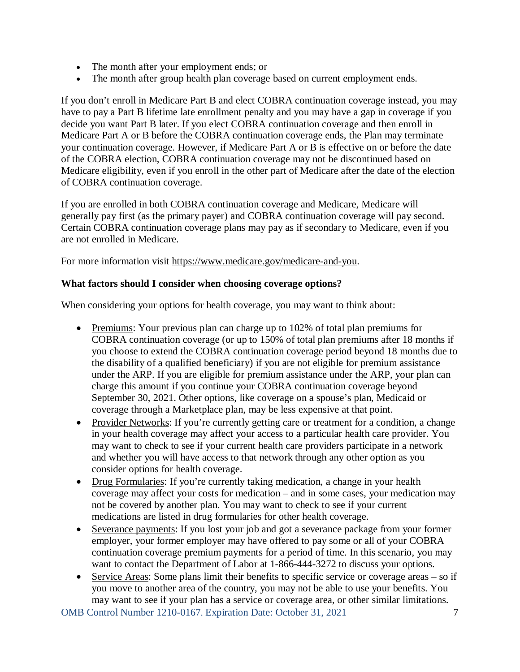- The month after your employment ends; or
- The month after group health plan coverage based on current employment ends.

If you don't enroll in Medicare Part B and elect COBRA continuation coverage instead, you may have to pay a Part B lifetime late enrollment penalty and you may have a gap in coverage if you decide you want Part B later. If you elect COBRA continuation coverage and then enroll in Medicare Part A or B before the COBRA continuation coverage ends, the Plan may terminate your continuation coverage. However, if Medicare Part A or B is effective on or before the date of the COBRA election, COBRA continuation coverage may not be discontinued based on Medicare eligibility, even if you enroll in the other part of Medicare after the date of the election of COBRA continuation coverage.

If you are enrolled in both COBRA continuation coverage and Medicare, Medicare will generally pay first (as the primary payer) and COBRA continuation coverage will pay second. Certain COBRA continuation coverage plans may pay as if secondary to Medicare, even if you are not enrolled in Medicare.

For more information visit [https://www.medicare.gov/medicare-and-you.](https://www.medicare.gov/medicare-and-you)

# **What factors should I consider when choosing coverage options?**

When considering your options for health coverage, you may want to think about:

- Premiums: Your previous plan can charge up to 102% of total plan premiums for COBRA continuation coverage (or up to 150% of total plan premiums after 18 months if you choose to extend the COBRA continuation coverage period beyond 18 months due to the disability of a qualified beneficiary) if you are not eligible for premium assistance under the ARP. If you are eligible for premium assistance under the ARP, your plan can charge this amount if you continue your COBRA continuation coverage beyond September 30, 2021. Other options, like coverage on a spouse's plan, Medicaid or coverage through a Marketplace plan, may be less expensive at that point.
- Provider Networks: If you're currently getting care or treatment for a condition, a change in your health coverage may affect your access to a particular health care provider. You may want to check to see if your current health care providers participate in a network and whether you will have access to that network through any other option as you consider options for health coverage.
- Drug Formularies: If you're currently taking medication, a change in your health coverage may affect your costs for medication – and in some cases, your medication may not be covered by another plan. You may want to check to see if your current medications are listed in drug formularies for other health coverage.
- Severance payments: If you lost your job and got a severance package from your former employer, your former employer may have offered to pay some or all of your COBRA continuation coverage premium payments for a period of time. In this scenario, you may want to contact the Department of Labor at 1-866-444-3272 to discuss your options.
- Service Areas: Some plans limit their benefits to specific service or coverage areas so if you move to another area of the country, you may not be able to use your benefits. You may want to see if your plan has a service or coverage area, or other similar limitations.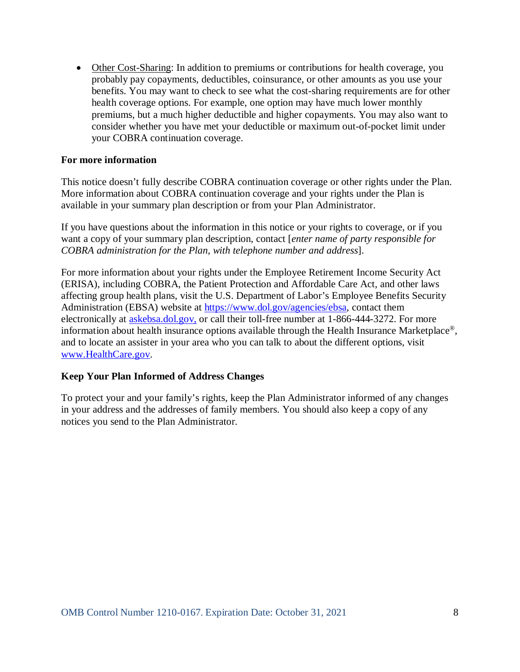• Other Cost-Sharing: In addition to premiums or contributions for health coverage, you probably pay copayments, deductibles, coinsurance, or other amounts as you use your benefits. You may want to check to see what the cost-sharing requirements are for other health coverage options. For example, one option may have much lower monthly premiums, but a much higher deductible and higher copayments. You may also want to consider whether you have met your deductible or maximum out-of-pocket limit under your COBRA continuation coverage.

#### **For more information**

This notice doesn't fully describe COBRA continuation coverage or other rights under the Plan. More information about COBRA continuation coverage and your rights under the Plan is available in your summary plan description or from your Plan Administrator.

If you have questions about the information in this notice or your rights to coverage, or if you want a copy of your summary plan description, contact [*enter name of party responsible for COBRA administration for the Plan, with telephone number and address*].

For more information about your rights under the Employee Retirement Income Security Act (ERISA), including COBRA, the Patient Protection and Affordable Care Act, and other laws affecting group health plans, visit the U.S. Department of Labor's Employee Benefits Security Administration (EBSA) website at [https://www.dol.gov/agencies/ebsa,](https://www.dol.gov/agencies/ebsa) contact them electronically at askebsa.dol.gov, or call their toll-free number at 1-866-444-3272. For more information about health insurance options available through the Health Insurance Marketplace®, and to locate an assister in your area who you can talk to about the different options, visit [www.HealthCare.gov.](http://www.healthcare.gov/)

#### **Keep Your Plan Informed of Address Changes**

To protect your and your family's rights, keep the Plan Administrator informed of any changes in your address and the addresses of family members. You should also keep a copy of any notices you send to the Plan Administrator.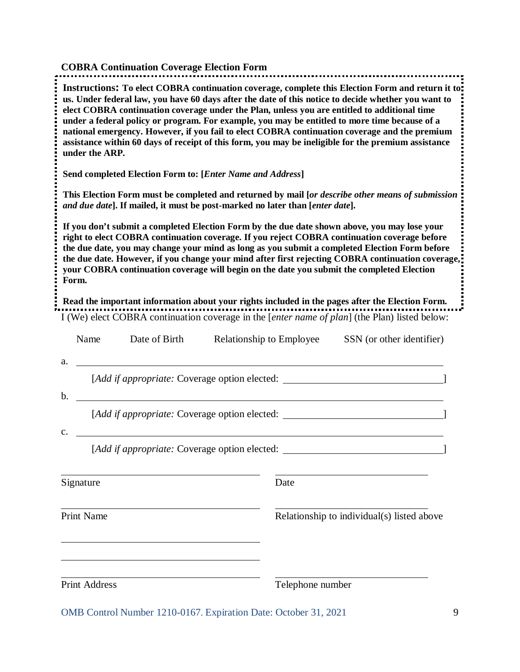| <b>COBRA Continuation Coverage Election Form</b>                                                                                                                                                                                                                                                                                                                                                                                                                                                                                                                                                                                    |                                                                                                   |  |  |  |  |
|-------------------------------------------------------------------------------------------------------------------------------------------------------------------------------------------------------------------------------------------------------------------------------------------------------------------------------------------------------------------------------------------------------------------------------------------------------------------------------------------------------------------------------------------------------------------------------------------------------------------------------------|---------------------------------------------------------------------------------------------------|--|--|--|--|
| Instructions: To elect COBRA continuation coverage, complete this Election Form and return it to:<br>us. Under federal law, you have 60 days after the date of this notice to decide whether you want to<br>elect COBRA continuation coverage under the Plan, unless you are entitled to additional time<br>under a federal policy or program. For example, you may be entitled to more time because of a<br>national emergency. However, if you fail to elect COBRA continuation coverage and the premium<br>assistance within 60 days of receipt of this form, you may be ineligible for the premium assistance<br>under the ARP. |                                                                                                   |  |  |  |  |
| Send completed Election Form to: [Enter Name and Address]                                                                                                                                                                                                                                                                                                                                                                                                                                                                                                                                                                           |                                                                                                   |  |  |  |  |
| This Election Form must be completed and returned by mail [or describe other means of submission<br>and due date]. If mailed, it must be post-marked no later than [enter date].                                                                                                                                                                                                                                                                                                                                                                                                                                                    |                                                                                                   |  |  |  |  |
| If you don't submit a completed Election Form by the due date shown above, you may lose your<br>right to elect COBRA continuation coverage. If you reject COBRA continuation coverage before<br>the due date, you may change your mind as long as you submit a completed Election Form before<br>your COBRA continuation coverage will begin on the date you submit the completed Election<br>Form.                                                                                                                                                                                                                                 | the due date. However, if you change your mind after first rejecting COBRA continuation coverage, |  |  |  |  |
| Read the important information about your rights included in the pages after the Election Form.                                                                                                                                                                                                                                                                                                                                                                                                                                                                                                                                     |                                                                                                   |  |  |  |  |
| I (We) elect COBRA continuation coverage in the [enter name of plan] (the Plan) listed below:                                                                                                                                                                                                                                                                                                                                                                                                                                                                                                                                       |                                                                                                   |  |  |  |  |
| Date of Birth<br>Name                                                                                                                                                                                                                                                                                                                                                                                                                                                                                                                                                                                                               | Relationship to Employee<br>SSN (or other identifier)                                             |  |  |  |  |
| a.                                                                                                                                                                                                                                                                                                                                                                                                                                                                                                                                                                                                                                  |                                                                                                   |  |  |  |  |
| [Add if appropriate: Coverage option elected: __________________________________                                                                                                                                                                                                                                                                                                                                                                                                                                                                                                                                                    |                                                                                                   |  |  |  |  |
| b.<br>[Add if appropriate: Coverage option elected: __________________________________                                                                                                                                                                                                                                                                                                                                                                                                                                                                                                                                              |                                                                                                   |  |  |  |  |
| $\mathbf{c}$ .                                                                                                                                                                                                                                                                                                                                                                                                                                                                                                                                                                                                                      |                                                                                                   |  |  |  |  |
| [Add if appropriate: Coverage option elected: __________________________________                                                                                                                                                                                                                                                                                                                                                                                                                                                                                                                                                    |                                                                                                   |  |  |  |  |
| Signature                                                                                                                                                                                                                                                                                                                                                                                                                                                                                                                                                                                                                           | Date                                                                                              |  |  |  |  |
| Print Name                                                                                                                                                                                                                                                                                                                                                                                                                                                                                                                                                                                                                          | Relationship to individual(s) listed above                                                        |  |  |  |  |
|                                                                                                                                                                                                                                                                                                                                                                                                                                                                                                                                                                                                                                     |                                                                                                   |  |  |  |  |
| <b>Print Address</b>                                                                                                                                                                                                                                                                                                                                                                                                                                                                                                                                                                                                                | Telephone number                                                                                  |  |  |  |  |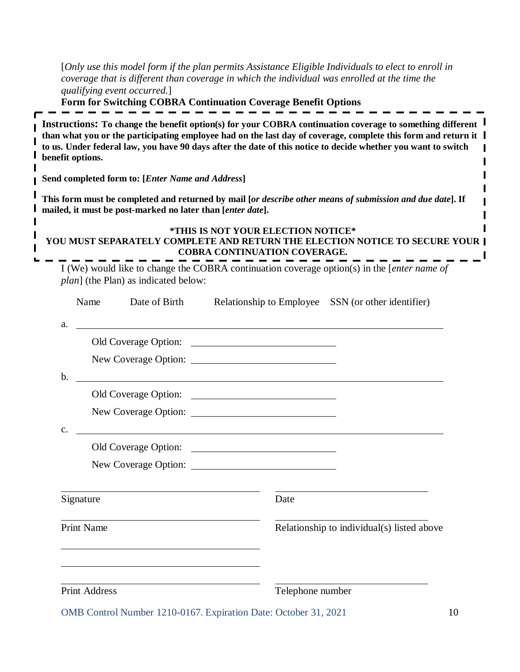[*Only use this model form if the plan permits Assistance Eligible Individuals to elect to enroll in coverage that is different than coverage in which the individual was enrolled at the time the qualifying event occurred.*]

**Form for Switching COBRA Continuation Coverage Benefit Options**

**Instructions: To change the benefit option(s) for your COBRA continuation coverage to something different than what you or the participating employee had on the last day of coverage, complete this form and return it to us. Under federal law, you have 90 days after the date of this notice to decide whether you want to switch benefit options.** Π

**Send completed form to: [***Enter Name and Address***]** 

I

Π Ι

**This form must be completed and returned by mail [***or describe other means of submission and due date***]. If**  I **mailed, it must be post-marked no later than [***enter date***].**

#### **\*THIS IS NOT YOUR ELECTION NOTICE\* YOU MUST SEPARATELY COMPLETE AND RETURN THE ELECTION NOTICE TO SECURE YOUR COBRA CONTINUATION COVERAGE.**

I (We) would like to change the COBRA continuation coverage option(s) in the [*enter name of plan*] (the Plan) as indicated below:

|                      | Name      | Date of Birth | Relationship to Employee SSN (or other identifier)                                                                     |  |
|----------------------|-----------|---------------|------------------------------------------------------------------------------------------------------------------------|--|
| a.                   |           |               | <u> 1989 - Andrea San Andrew Maria (h. 1989).</u>                                                                      |  |
|                      |           |               |                                                                                                                        |  |
|                      |           |               |                                                                                                                        |  |
| $b$                  |           |               | <u> 1989 - Johann Stoff, deutscher Stoff, der Stoff, der Stoff, der Stoff, der Stoff, der Stoff, der Stoff, der S</u>  |  |
|                      |           |               |                                                                                                                        |  |
|                      |           |               |                                                                                                                        |  |
| c.                   |           |               | <u> 1989 - Johann Stoff, deutscher Stoffen und der Stoffen und der Stoffen und der Stoffen und der Stoffen und der</u> |  |
|                      |           |               |                                                                                                                        |  |
|                      |           |               |                                                                                                                        |  |
|                      | Signature |               | Date                                                                                                                   |  |
| <b>Print Name</b>    |           |               | Relationship to individual(s) listed above                                                                             |  |
|                      |           |               |                                                                                                                        |  |
| <b>Print Address</b> |           |               | Telephone number                                                                                                       |  |

OMB Control Number 1210-0167. Expiration Date: October 31, 2021 10

Г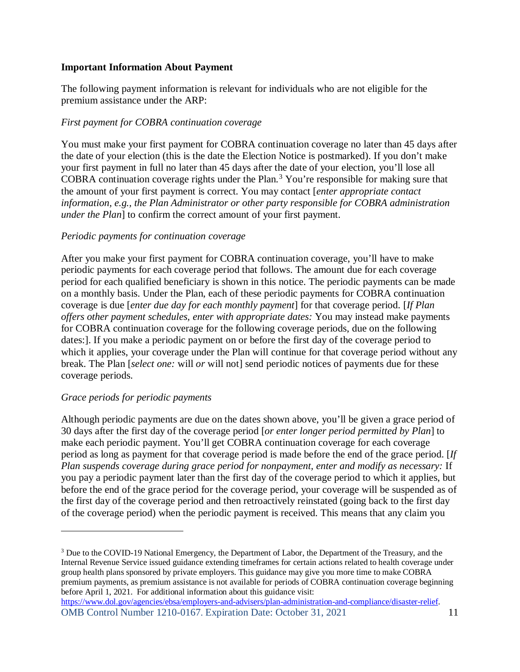#### **Important Information About Payment**

The following payment information is relevant for individuals who are not eligible for the premium assistance under the ARP:

#### *First payment for COBRA continuation coverage*

You must make your first payment for COBRA continuation coverage no later than 45 days after the date of your election (this is the date the Election Notice is postmarked). If you don't make your first payment in full no later than 45 days after the date of your election, you'll lose all COBRA continuation coverage rights under the Plan.<sup>[3](#page-12-0)</sup> You're responsible for making sure that the amount of your first payment is correct. You may contact [*enter appropriate contact information, e.g., the Plan Administrator or other party responsible for COBRA administration under the Plan*] to confirm the correct amount of your first payment.

#### *Periodic payments for continuation coverage*

After you make your first payment for COBRA continuation coverage, you'll have to make periodic payments for each coverage period that follows. The amount due for each coverage period for each qualified beneficiary is shown in this notice. The periodic payments can be made on a monthly basis. Under the Plan, each of these periodic payments for COBRA continuation coverage is due [*enter due day for each monthly payment*] for that coverage period. [*If Plan offers other payment schedules, enter with appropriate dates:* You may instead make payments for COBRA continuation coverage for the following coverage periods, due on the following dates:]. If you make a periodic payment on or before the first day of the coverage period to which it applies, your coverage under the Plan will continue for that coverage period without any break. The Plan [*select one:* will *or* will not] send periodic notices of payments due for these coverage periods.

# *Grace periods for periodic payments*

 $\overline{a}$ 

Although periodic payments are due on the dates shown above, you'll be given a grace period of 30 days after the first day of the coverage period [*or enter longer period permitted by Plan*] to make each periodic payment. You'll get COBRA continuation coverage for each coverage period as long as payment for that coverage period is made before the end of the grace period. [*If Plan suspends coverage during grace period for nonpayment, enter and modify as necessary:* If you pay a periodic payment later than the first day of the coverage period to which it applies, but before the end of the grace period for the coverage period, your coverage will be suspended as of the first day of the coverage period and then retroactively reinstated (going back to the first day of the coverage period) when the periodic payment is received. This means that any claim you

<span id="page-12-0"></span><sup>3</sup> Due to the COVID-19 National Emergency, the Department of Labor, the Department of the Treasury, and the Internal Revenue Service issued guidance extending timeframes for certain actions related to health coverage under group health plans sponsored by private employers. This guidance may give you more time to make COBRA premium payments, as premium assistance is not available for periods of COBRA continuation coverage beginning before April 1, 2021. For additional information about this guidance visit:

OMB Control Number 1210-0167. Expiration Date: October 31, 2021 11 [https://www.dol.gov/agencies/ebsa/employers-and-advisers/plan-administration-and-compliance/disaster-relief.](https://www.dol.gov/agencies/ebsa/employers-and-advisers/plan-administration-and-compliance/disaster-relief)